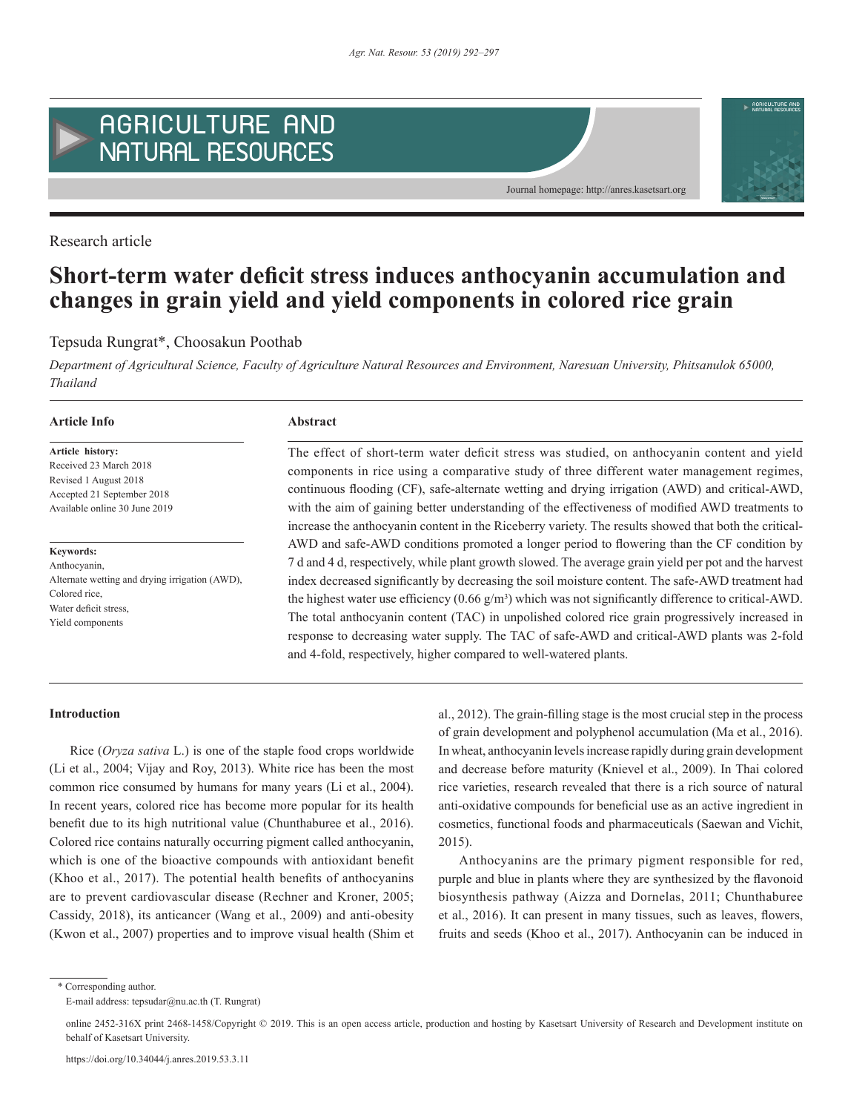

Research article

# **Short-term water deficit stress induces anthocyanin accumulation and changes in grain yield and yield components in colored rice grain**

# Tepsuda Rungrat\*, Choosakun Poothab

*Department of Agricultural Science, Faculty of Agriculture Natural Resources and Environment, Naresuan University, Phitsanulok 65000, Thailand*

#### **Article Info Abstract**

**Article history:** Received 23 March 2018 Revised 1 August 2018 Accepted 21 September 2018 Available online 30 June 2019

**Keywords:** Anthocyanin, Alternate wetting and drying irrigation (AWD), Colored rice, Water deficit stress, Yield components

The effect of short-term water deficit stress was studied, on anthocyanin content and yield components in rice using a comparative study of three different water management regimes, continuous flooding (CF), safe-alternate wetting and drying irrigation (AWD) and critical-AWD, with the aim of gaining better understanding of the effectiveness of modified AWD treatments to increase the anthocyanin content in the Riceberry variety. The results showed that both the critical-AWD and safe-AWD conditions promoted a longer period to flowering than the CF condition by 7 d and 4 d, respectively, while plant growth slowed. The average grain yield per pot and the harvest index decreased significantly by decreasing the soil moisture content. The safe-AWD treatment had the highest water use efficiency  $(0.66 \text{ g/m}^3)$  which was not significantly difference to critical-AWD. The total anthocyanin content (TAC) in unpolished colored rice grain progressively increased in response to decreasing water supply. The TAC of safe-AWD and critical-AWD plants was 2-fold and 4-fold, respectively, higher compared to well-watered plants.

Journal homepage: http://anres.kasetsart.org

#### **Introduction**

Rice (*Oryza sativa* L.) is one of the staple food crops worldwide (Li et al., 2004; Vijay and Roy, 2013). White rice has been the most common rice consumed by humans for many years (Li et al., 2004). In recent years, colored rice has become more popular for its health benefit due to its high nutritional value (Chunthaburee et al., 2016). Colored rice contains naturally occurring pigment called anthocyanin, which is one of the bioactive compounds with antioxidant benefit (Khoo et al., 2017). The potential health benefits of anthocyanins are to prevent cardiovascular disease (Rechner and Kroner, 2005; Cassidy, 2018), its anticancer (Wang et al., 2009) and anti-obesity (Kwon et al., 2007) properties and to improve visual health (Shim et al., 2012). The grain-filling stage is the most crucial step in the process of grain development and polyphenol accumulation (Ma et al., 2016). In wheat, anthocyanin levels increase rapidly during grain development and decrease before maturity (Knievel et al., 2009). In Thai colored rice varieties, research revealed that there is a rich source of natural anti-oxidative compounds for beneficial use as an active ingredient in cosmetics, functional foods and pharmaceuticals (Saewan and Vichit, 2015).

Anthocyanins are the primary pigment responsible for red, purple and blue in plants where they are synthesized by the flavonoid biosynthesis pathway (Aizza and Dornelas, 2011; Chunthaburee et al., 2016). It can present in many tissues, such as leaves, flowers, fruits and seeds (Khoo et al., 2017). Anthocyanin can be induced in

\* Corresponding author.

E-mail address: tepsudar@nu.ac.th (T. Rungrat)

online 2452-316X print 2468-1458/Copyright © 2019. This is an open access article, production and hosting by Kasetsart University of Research and Development institute on behalf of Kasetsart University.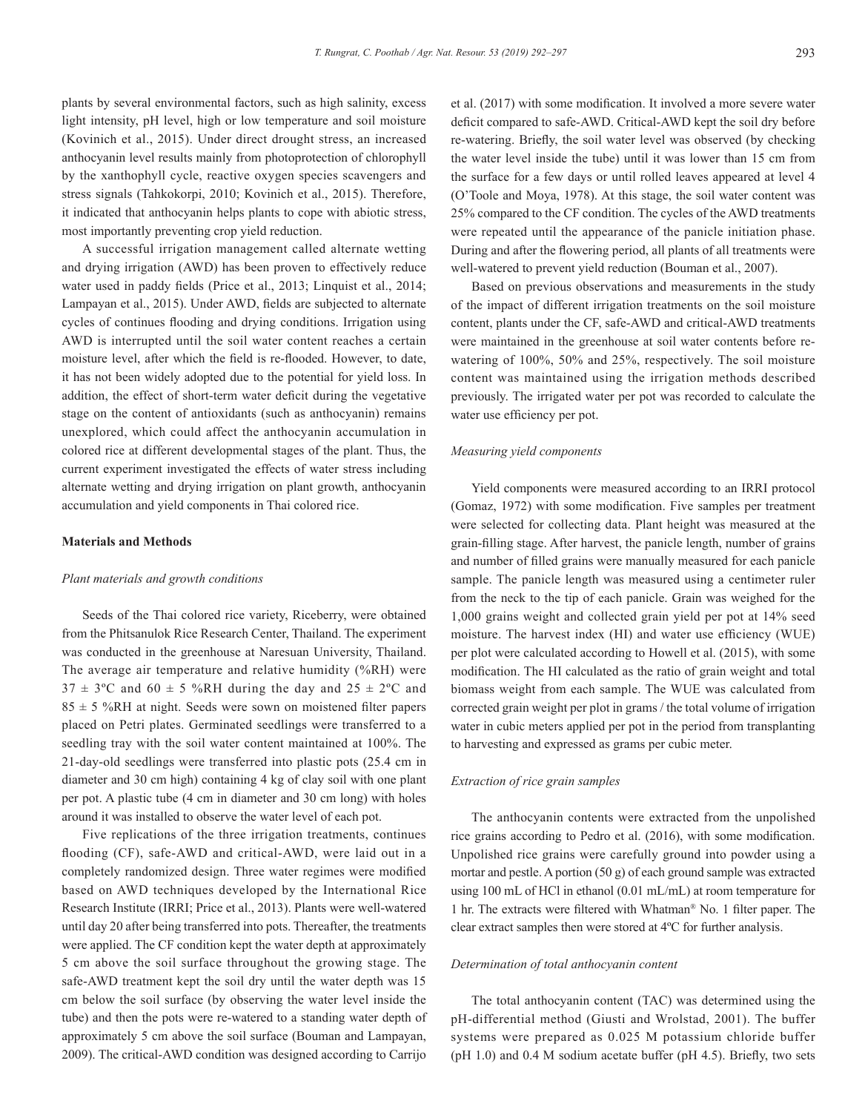plants by several environmental factors, such as high salinity, excess light intensity, pH level, high or low temperature and soil moisture (Kovinich et al., 2015). Under direct drought stress, an increased anthocyanin level results mainly from photoprotection of chlorophyll by the xanthophyll cycle, reactive oxygen species scavengers and stress signals (Tahkokorpi, 2010; Kovinich et al., 2015). Therefore, it indicated that anthocyanin helps plants to cope with abiotic stress, most importantly preventing crop yield reduction.

A successful irrigation management called alternate wetting and drying irrigation (AWD) has been proven to effectively reduce water used in paddy fields (Price et al., 2013; Linquist et al., 2014; Lampayan et al., 2015). Under AWD, fields are subjected to alternate cycles of continues flooding and drying conditions. Irrigation using AWD is interrupted until the soil water content reaches a certain moisture level, after which the field is re-flooded. However, to date, it has not been widely adopted due to the potential for yield loss. In addition, the effect of short-term water deficit during the vegetative stage on the content of antioxidants (such as anthocyanin) remains unexplored, which could affect the anthocyanin accumulation in colored rice at different developmental stages of the plant. Thus, the current experiment investigated the effects of water stress including alternate wetting and drying irrigation on plant growth, anthocyanin accumulation and yield components in Thai colored rice.

## **Materials and Methods**

### *Plant materials and growth conditions*

Seeds of the Thai colored rice variety, Riceberry, were obtained from the Phitsanulok Rice Research Center, Thailand. The experiment was conducted in the greenhouse at Naresuan University, Thailand. The average air temperature and relative humidity (%RH) were  $37 \pm 3$ °C and  $60 \pm 5$  %RH during the day and  $25 \pm 2$ °C and  $85 \pm 5$  %RH at night. Seeds were sown on moistened filter papers placed on Petri plates. Germinated seedlings were transferred to a seedling tray with the soil water content maintained at 100%. The 21-day-old seedlings were transferred into plastic pots (25.4 cm in diameter and 30 cm high) containing 4 kg of clay soil with one plant per pot. A plastic tube (4 cm in diameter and 30 cm long) with holes around it was installed to observe the water level of each pot.

Five replications of the three irrigation treatments, continues flooding (CF), safe-AWD and critical-AWD, were laid out in a completely randomized design. Three water regimes were modified based on AWD techniques developed by the International Rice Research Institute (IRRI; Price et al., 2013). Plants were well-watered until day 20 after being transferred into pots. Thereafter, the treatments were applied. The CF condition kept the water depth at approximately 5 cm above the soil surface throughout the growing stage. The safe-AWD treatment kept the soil dry until the water depth was 15 cm below the soil surface (by observing the water level inside the tube) and then the pots were re-watered to a standing water depth of approximately 5 cm above the soil surface (Bouman and Lampayan, 2009). The critical-AWD condition was designed according to Carrijo

et al. (2017) with some modification. It involved a more severe water deficit compared to safe-AWD. Critical-AWD kept the soil dry before re-watering. Briefly, the soil water level was observed (by checking the water level inside the tube) until it was lower than 15 cm from the surface for a few days or until rolled leaves appeared at level 4 (O'Toole and Moya, 1978). At this stage, the soil water content was 25% compared to the CF condition. The cycles of the AWD treatments were repeated until the appearance of the panicle initiation phase. During and after the flowering period, all plants of all treatments were well-watered to prevent yield reduction (Bouman et al., 2007).

Based on previous observations and measurements in the study of the impact of different irrigation treatments on the soil moisture content, plants under the CF, safe-AWD and critical-AWD treatments were maintained in the greenhouse at soil water contents before rewatering of 100%, 50% and 25%, respectively. The soil moisture content was maintained using the irrigation methods described previously. The irrigated water per pot was recorded to calculate the water use efficiency per pot.

#### *Measuring yield components*

Yield components were measured according to an IRRI protocol (Gomaz, 1972) with some modification. Five samples per treatment were selected for collecting data. Plant height was measured at the grain-filling stage. After harvest, the panicle length, number of grains and number of filled grains were manually measured for each panicle sample. The panicle length was measured using a centimeter ruler from the neck to the tip of each panicle. Grain was weighed for the 1,000 grains weight and collected grain yield per pot at 14% seed moisture. The harvest index (HI) and water use efficiency (WUE) per plot were calculated according to Howell et al. (2015), with some modification. The HI calculated as the ratio of grain weight and total biomass weight from each sample. The WUE was calculated from corrected grain weight per plot in grams / the total volume of irrigation water in cubic meters applied per pot in the period from transplanting to harvesting and expressed as grams per cubic meter.

### *Extraction of rice grain samples*

The anthocyanin contents were extracted from the unpolished rice grains according to Pedro et al. (2016), with some modification. Unpolished rice grains were carefully ground into powder using a mortar and pestle. A portion (50 g) of each ground sample was extracted using 100 mL of HCl in ethanol (0.01 mL/mL) at room temperature for 1 hr. The extracts were filtered with Whatman® No. 1 filter paper. The clear extract samples then were stored at 4ºC for further analysis.

#### *Determination of total anthocyanin content*

The total anthocyanin content (TAC) was determined using the pH-differential method (Giusti and Wrolstad, 2001). The buffer systems were prepared as 0.025 M potassium chloride buffer (pH 1.0) and 0.4 M sodium acetate buffer (pH 4.5). Briefly, two sets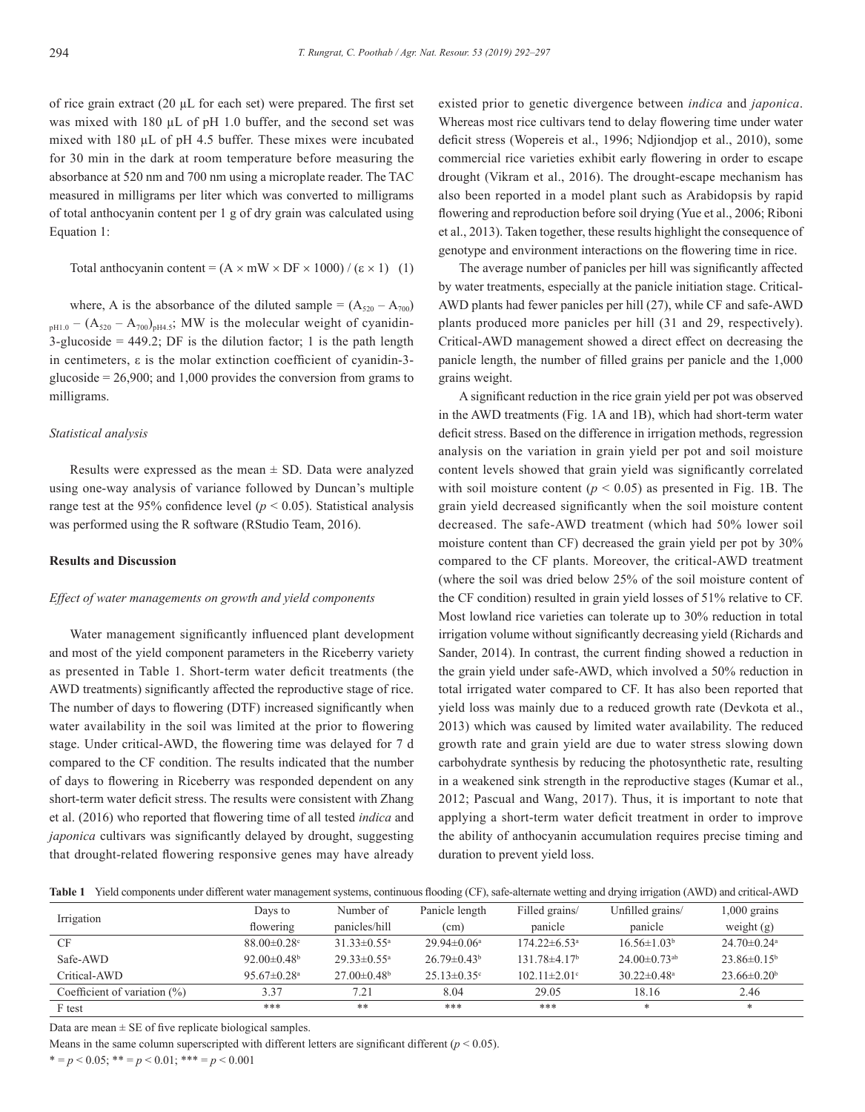of rice grain extract (20 µL for each set) were prepared. The first set was mixed with 180  $\mu$ L of pH 1.0 buffer, and the second set was mixed with 180 µL of pH 4.5 buffer. These mixes were incubated for 30 min in the dark at room temperature before measuring the absorbance at 520 nm and 700 nm using a microplate reader. The TAC measured in milligrams per liter which was converted to milligrams of total anthocyanin content per 1 g of dry grain was calculated using Equation 1:

Total anthocyanin content = 
$$
(A \times mW \times DF \times 1000) / (\epsilon \times 1)
$$
 (1)

where, A is the absorbance of the diluted sample =  $(A_{520} - A_{700})$  $_{pH1.0} - (A_{520} - A_{700})_{pH4.5}$ ; MW is the molecular weight of cyanidin-3-glucoside  $= 449.2$ ; DF is the dilution factor; 1 is the path length in centimeters, ε is the molar extinction coefficient of cyanidin-3 glucoside  $= 26,900$ ; and 1,000 provides the conversion from grams to milligrams.

### *Statistical analysis*

Results were expressed as the mean  $\pm$  SD. Data were analyzed using one-way analysis of variance followed by Duncan's multiple range test at the 95% confidence level ( $p < 0.05$ ). Statistical analysis was performed using the R software (RStudio Team, 2016).

# **Results and Discussion**

#### *Effect of water managements on growth and yield components*

Water management significantly influenced plant development and most of the yield component parameters in the Riceberry variety as presented in Table 1. Short-term water deficit treatments (the AWD treatments) significantly affected the reproductive stage of rice. The number of days to flowering (DTF) increased significantly when water availability in the soil was limited at the prior to flowering stage. Under critical-AWD, the flowering time was delayed for 7 d compared to the CF condition. The results indicated that the number of days to flowering in Riceberry was responded dependent on any short-term water deficit stress. The results were consistent with Zhang et al. (2016) who reported that flowering time of all tested *indica* and *japonica* cultivars was significantly delayed by drought, suggesting that drought-related flowering responsive genes may have already existed prior to genetic divergence between *indica* and *japonica*. Whereas most rice cultivars tend to delay flowering time under water deficit stress (Wopereis et al., 1996; Ndjiondjop et al., 2010), some commercial rice varieties exhibit early flowering in order to escape drought (Vikram et al., 2016). The drought-escape mechanism has also been reported in a model plant such as Arabidopsis by rapid flowering and reproduction before soil drying (Yue et al., 2006; Riboni et al., 2013). Taken together, these results highlight the consequence of genotype and environment interactions on the flowering time in rice.

The average number of panicles per hill was significantly affected by water treatments, especially at the panicle initiation stage. Critical-AWD plants had fewer panicles per hill (27), while CF and safe-AWD plants produced more panicles per hill (31 and 29, respectively). Critical-AWD management showed a direct effect on decreasing the panicle length, the number of filled grains per panicle and the 1,000 grains weight.

A significant reduction in the rice grain yield per pot was observed in the AWD treatments (Fig. 1A and 1B), which had short-term water deficit stress. Based on the difference in irrigation methods, regression analysis on the variation in grain yield per pot and soil moisture content levels showed that grain yield was significantly correlated with soil moisture content ( $p < 0.05$ ) as presented in Fig. 1B. The grain yield decreased significantly when the soil moisture content decreased. The safe-AWD treatment (which had 50% lower soil moisture content than CF) decreased the grain yield per pot by 30% compared to the CF plants. Moreover, the critical-AWD treatment (where the soil was dried below 25% of the soil moisture content of the CF condition) resulted in grain yield losses of 51% relative to CF. Most lowland rice varieties can tolerate up to 30% reduction in total irrigation volume without significantly decreasing yield (Richards and Sander, 2014). In contrast, the current finding showed a reduction in the grain yield under safe-AWD, which involved a 50% reduction in total irrigated water compared to CF. It has also been reported that yield loss was mainly due to a reduced growth rate (Devkota et al., 2013) which was caused by limited water availability. The reduced growth rate and grain yield are due to water stress slowing down carbohydrate synthesis by reducing the photosynthetic rate, resulting in a weakened sink strength in the reproductive stages (Kumar et al., 2012; Pascual and Wang, 2017). Thus, it is important to note that applying a short-term water deficit treatment in order to improve the ability of anthocyanin accumulation requires precise timing and duration to prevent yield loss.

**Table 1** Yield components under different water management systems, continuous flooding (CF), safe-alternate wetting and drying irrigation (AWD) and critical-AWD

| Irrigation                      | Days to                       | Number of                     | Panicle length                | Filled grains/                 | Unfilled grains/               | $1,000$ grains                |
|---------------------------------|-------------------------------|-------------------------------|-------------------------------|--------------------------------|--------------------------------|-------------------------------|
|                                 | flowering                     | panicles/hill                 | (cm)                          | panicle                        | panicle                        | weight $(g)$                  |
| <b>CF</b>                       | $88.00 \pm 0.28$              | $31.33\pm 0.55^{\circ}$       | $29.94\pm 0.06^{\circ}$       | $174.22 \pm 6.53$ <sup>a</sup> | $16.56 \pm 1.03^b$             | $24.70 \pm 0.24$ <sup>a</sup> |
| Safe-AWD                        | 92.00 $\pm$ 0.48 <sup>b</sup> | $29.33 \pm 0.55$ <sup>a</sup> | $26.79 \pm 0.43$ <sup>b</sup> | $131.78\pm4.17b$               | $24.00 \pm 0.73$ <sup>ab</sup> | $23.86\pm0.15^{\rm b}$        |
| Critical-AWD                    | $95.67 \pm 0.28$ <sup>a</sup> | $27.00 \pm 0.48$ <sup>b</sup> | $25.13 \pm 0.35$ °            | $102.11 \pm 2.01$ °            | $30.22 \pm 0.48$ <sup>a</sup>  | $23.66 \pm 0.20^b$            |
| Coefficient of variation $(\%)$ | 3.37                          | 7.21                          | 8.04                          | 29.05                          | 18.16                          | 2.46                          |
| F test                          | ***                           | **                            | ***                           | ***                            | $\ast$                         | $\ast$                        |

Data are mean  $\pm$  SE of five replicate biological samples.

Means in the same column superscripted with different letters are significant different ( $p < 0.05$ ).

\* = *p* < 0.05; \*\* = *p* < 0.01; \*\*\* = *p* < 0.001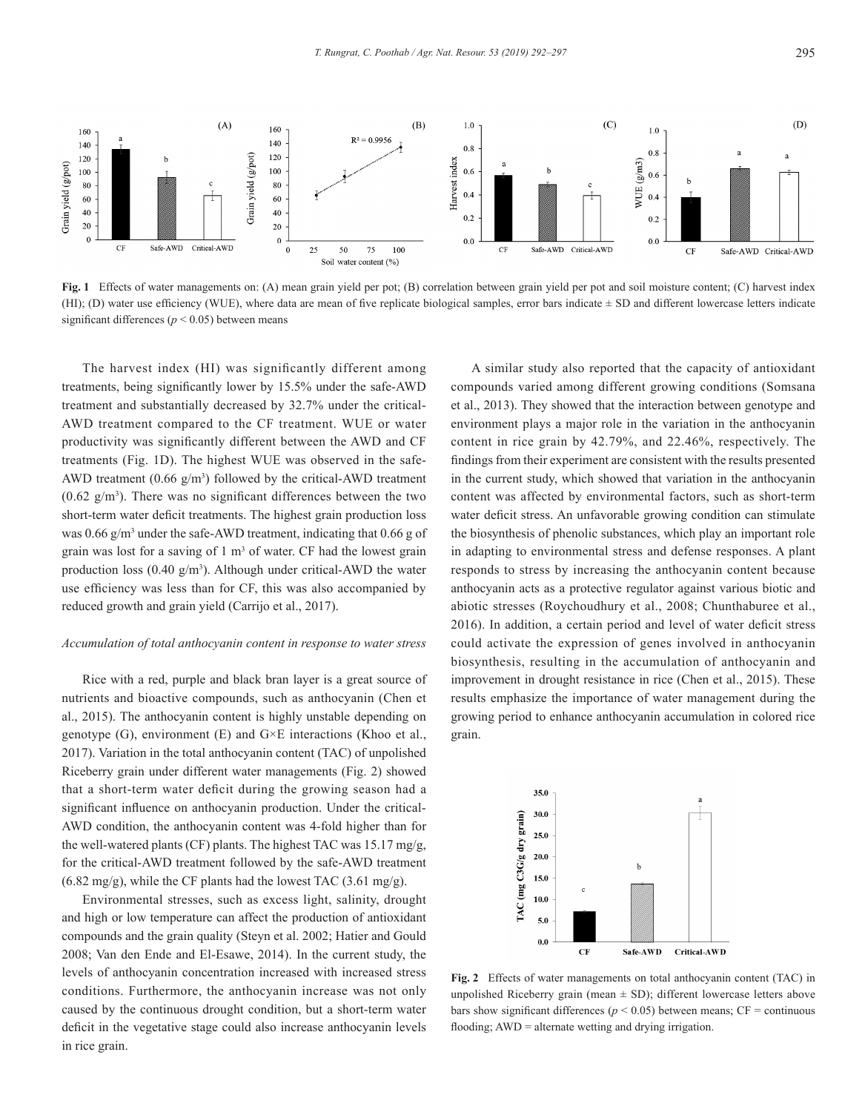

**Fig. 1** Effects of water managements on: (A) mean grain yield per pot; (B) correlation between grain yield per pot and soil moisture content; (C) harvest index (HI); (D) water use efficiency (WUE), where data are mean of five replicate biological samples, error bars indicate  $\pm$  SD and different lowercase letters indicate significant differences ( $p \le 0.05$ ) between means

The harvest index (HI) was significantly different among treatments, being significantly lower by 15.5% under the safe-AWD treatment and substantially decreased by 32.7% under the critical-AWD treatment compared to the CF treatment. WUE or water productivity was significantly different between the AWD and CF treatments (Fig. 1D). The highest WUE was observed in the safe-AWD treatment  $(0.66 \text{ g/m}^3)$  followed by the critical-AWD treatment  $(0.62 \text{ g/m}^3)$ . There was no significant differences between the two short-term water deficit treatments. The highest grain production loss was  $0.66$  g/m<sup>3</sup> under the safe-AWD treatment, indicating that  $0.66$  g of grain was lost for a saving of  $1 \text{ m}^3$  of water. CF had the lowest grain production loss  $(0.40 \text{ g/m}^3)$ . Although under critical-AWD the water use efficiency was less than for CF, this was also accompanied by reduced growth and grain yield (Carrijo et al., 2017).

#### *Accumulation of total anthocyanin content in response to water stress*

Rice with a red, purple and black bran layer is a great source of nutrients and bioactive compounds, such as anthocyanin (Chen et al., 2015). The anthocyanin content is highly unstable depending on genotype  $(G)$ , environment  $(E)$  and  $G \times E$  interactions (Khoo et al., 2017). Variation in the total anthocyanin content (TAC) of unpolished Riceberry grain under different water managements (Fig. 2) showed that a short-term water deficit during the growing season had a significant influence on anthocyanin production. Under the critical-AWD condition, the anthocyanin content was 4-fold higher than for the well-watered plants (CF) plants. The highest TAC was 15.17 mg/g, for the critical-AWD treatment followed by the safe-AWD treatment (6.82 mg/g), while the CF plants had the lowest TAC (3.61 mg/g).

Environmental stresses, such as excess light, salinity, drought and high or low temperature can affect the production of antioxidant compounds and the grain quality (Steyn et al. 2002; Hatier and Gould 2008; Van den Ende and El-Esawe, 2014). In the current study, the levels of anthocyanin concentration increased with increased stress conditions. Furthermore, the anthocyanin increase was not only caused by the continuous drought condition, but a short-term water deficit in the vegetative stage could also increase anthocyanin levels in rice grain.

A similar study also reported that the capacity of antioxidant compounds varied among different growing conditions (Somsana et al., 2013). They showed that the interaction between genotype and environment plays a major role in the variation in the anthocyanin content in rice grain by 42.79%, and 22.46%, respectively. The findings from their experiment are consistent with the results presented in the current study, which showed that variation in the anthocyanin content was affected by environmental factors, such as short-term water deficit stress. An unfavorable growing condition can stimulate the biosynthesis of phenolic substances, which play an important role in adapting to environmental stress and defense responses. A plant responds to stress by increasing the anthocyanin content because anthocyanin acts as a protective regulator against various biotic and abiotic stresses (Roychoudhury et al., 2008; Chunthaburee et al., 2016). In addition, a certain period and level of water deficit stress could activate the expression of genes involved in anthocyanin biosynthesis, resulting in the accumulation of anthocyanin and improvement in drought resistance in rice (Chen et al., 2015). These results emphasize the importance of water management during the growing period to enhance anthocyanin accumulation in colored rice grain.



**Fig. 2** Effects of water managements on total anthocyanin content (TAC) in unpolished Riceberry grain (mean  $\pm$  SD); different lowercase letters above bars show significant differences ( $p$  < 0.05) between means;  $CF =$  continuous flooding; AWD = alternate wetting and drying irrigation.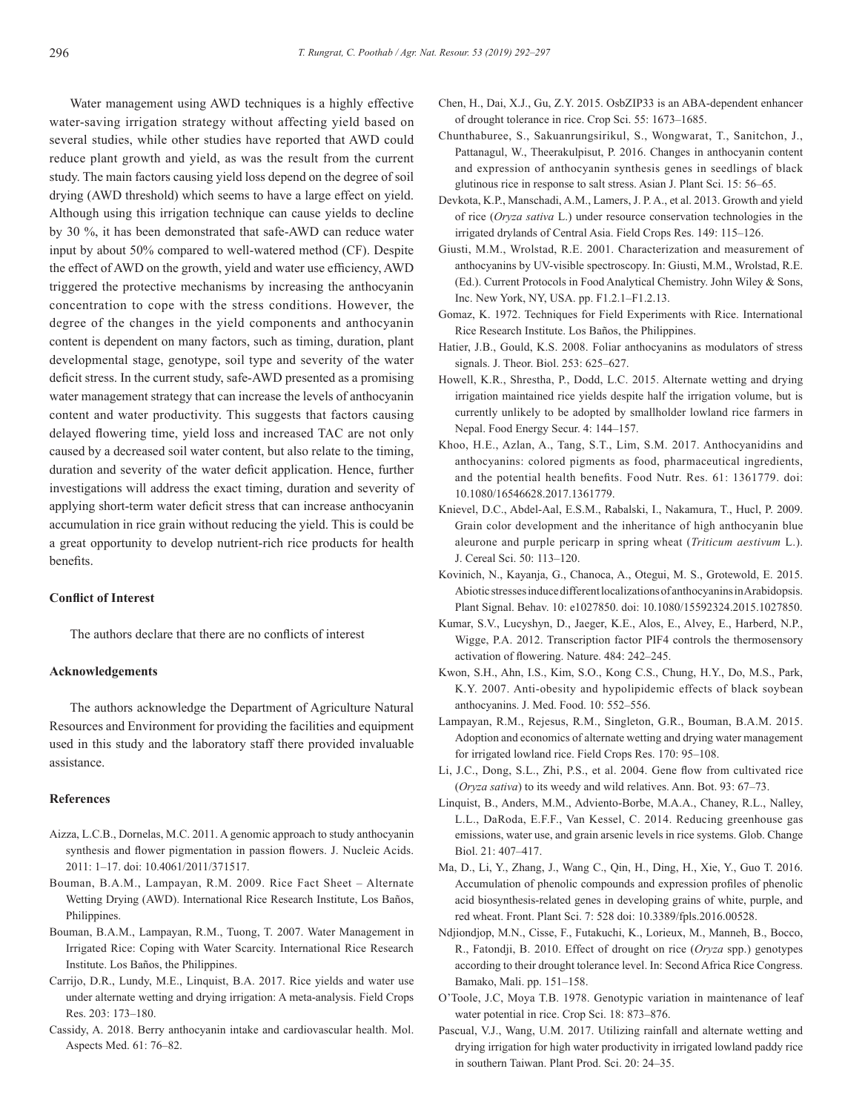Water management using AWD techniques is a highly effective water-saving irrigation strategy without affecting yield based on several studies, while other studies have reported that AWD could reduce plant growth and yield, as was the result from the current study. The main factors causing yield loss depend on the degree of soil drying (AWD threshold) which seems to have a large effect on yield. Although using this irrigation technique can cause yields to decline by 30 %, it has been demonstrated that safe-AWD can reduce water input by about 50% compared to well-watered method (CF). Despite the effect of AWD on the growth, yield and water use efficiency, AWD triggered the protective mechanisms by increasing the anthocyanin concentration to cope with the stress conditions. However, the degree of the changes in the yield components and anthocyanin content is dependent on many factors, such as timing, duration, plant developmental stage, genotype, soil type and severity of the water deficit stress. In the current study, safe-AWD presented as a promising water management strategy that can increase the levels of anthocyanin content and water productivity. This suggests that factors causing delayed flowering time, yield loss and increased TAC are not only caused by a decreased soil water content, but also relate to the timing, duration and severity of the water deficit application. Hence, further investigations will address the exact timing, duration and severity of applying short-term water deficit stress that can increase anthocyanin accumulation in rice grain without reducing the yield. This is could be a great opportunity to develop nutrient-rich rice products for health benefits.

# **Conflict of Interest**

The authors declare that there are no conflicts of interest

# **Acknowledgements**

The authors acknowledge the Department of Agriculture Natural Resources and Environment for providing the facilities and equipment used in this study and the laboratory staff there provided invaluable assistance.

#### **References**

- Aizza, L.C.B., Dornelas, M.C. 2011. A genomic approach to study anthocyanin synthesis and flower pigmentation in passion flowers. J. Nucleic Acids. 2011: 1–17. doi: 10.4061/2011/371517.
- Bouman, B.A.M., Lampayan, R.M. 2009. Rice Fact Sheet Alternate Wetting Drying (AWD). International Rice Research Institute, Los Baños, Philippines.
- Bouman, B.A.M., Lampayan, R.M., Tuong, T. 2007. Water Management in Irrigated Rice: Coping with Water Scarcity. International Rice Research Institute. Los Baños, the Philippines.
- Carrijo, D.R., Lundy, M.E., Linquist, B.A. 2017. Rice yields and water use under alternate wetting and drying irrigation: A meta-analysis. Field Crops Res. 203: 173–180.
- Cassidy, A. 2018. Berry anthocyanin intake and cardiovascular health. Mol. Aspects Med. 61: 76–82.
- Chen, H., Dai, X.J., Gu, Z.Y. 2015. OsbZIP33 is an ABA-dependent enhancer of drought tolerance in rice. Crop Sci. 55: 1673–1685.
- Chunthaburee, S., Sakuanrungsirikul, S., Wongwarat, T., Sanitchon, J., Pattanagul, W., Theerakulpisut, P. 2016. Changes in anthocyanin content and expression of anthocyanin synthesis genes in seedlings of black glutinous rice in response to salt stress. Asian J. Plant Sci. 15: 56–65.
- Devkota, K.P., Manschadi, A.M., Lamers, J. P. A., et al. 2013. Growth and yield of rice (*Oryza sativa* L.) under resource conservation technologies in the irrigated drylands of Central Asia. Field Crops Res. 149: 115–126.
- Giusti, M.M., Wrolstad, R.E. 2001. Characterization and measurement of anthocyanins by UV-visible spectroscopy. In: Giusti, M.M., Wrolstad, R.E. (Ed.). Current Protocols in Food Analytical Chemistry. John Wiley & Sons, Inc. New York, NY, USA. pp. F1.2.1–F1.2.13.
- Gomaz, K. 1972. Techniques for Field Experiments with Rice. International Rice Research Institute. Los Baños, the Philippines.
- Hatier, J.B., Gould, K.S. 2008. Foliar anthocyanins as modulators of stress signals. J. Theor. Biol. 253: 625–627.
- Howell, K.R., Shrestha, P., Dodd, L.C. 2015. Alternate wetting and drying irrigation maintained rice yields despite half the irrigation volume, but is currently unlikely to be adopted by smallholder lowland rice farmers in Nepal. Food Energy Secur. 4: 144–157.
- Khoo, H.E., Azlan, A., Tang, S.T., Lim, S.M. 2017. Anthocyanidins and anthocyanins: colored pigments as food, pharmaceutical ingredients, and the potential health benefits. Food Nutr. Res. 61: 1361779. doi: 10.1080/16546628.2017.1361779.
- Knievel, D.C., Abdel-Aal, E.S.M., Rabalski, I., Nakamura, T., Hucl, P. 2009. Grain color development and the inheritance of high anthocyanin blue aleurone and purple pericarp in spring wheat (*Triticum aestivum* L.). J. Cereal Sci. 50: 113–120.
- Kovinich, N., Kayanja, G., Chanoca, A., Otegui, M. S., Grotewold, E. 2015. Abiotic stresses induce different localizations of anthocyanins in Arabidopsis. Plant Signal. Behav. 10: e1027850. doi: 10.1080/15592324.2015.1027850.
- Kumar, S.V., Lucyshyn, D., Jaeger, K.E., Alos, E., Alvey, E., Harberd, N.P., Wigge, P.A. 2012. Transcription factor PIF4 controls the thermosensory activation of flowering. Nature. 484: 242–245.
- Kwon, S.H., Ahn, I.S., Kim, S.O., Kong C.S., Chung, H.Y., Do, M.S., Park, K.Y. 2007. Anti-obesity and hypolipidemic effects of black soybean anthocyanins. J. Med. Food. 10: 552–556.
- Lampayan, R.M., Rejesus, R.M., Singleton, G.R., Bouman, B.A.M. 2015. Adoption and economics of alternate wetting and drying water management for irrigated lowland rice. Field Crops Res. 170: 95–108.
- Li, J.C., Dong, S.L., Zhi, P.S., et al. 2004. Gene flow from cultivated rice (*Oryza sativa*) to its weedy and wild relatives. Ann. Bot. 93: 67–73.
- Linquist, B., Anders, M.M., Adviento-Borbe, M.A.A., Chaney, R.L., Nalley, L.L., DaRoda, E.F.F., Van Kessel, C. 2014. Reducing greenhouse gas emissions, water use, and grain arsenic levels in rice systems. Glob. Change Biol. 21: 407–417.
- Ma, D., Li, Y., Zhang, J., Wang C., Qin, H., Ding, H., Xie, Y., Guo T. 2016. Accumulation of phenolic compounds and expression profiles of phenolic acid biosynthesis-related genes in developing grains of white, purple, and red wheat. Front. Plant Sci. 7: 528 doi: 10.3389/fpls.2016.00528.
- Ndjiondjop, M.N., Cisse, F., Futakuchi, K., Lorieux, M., Manneh, B., Bocco, R., Fatondji, B. 2010. Effect of drought on rice (*Oryza* spp.) genotypes according to their drought tolerance level. In: Second Africa Rice Congress. Bamako, Mali. pp. 151–158.
- O'Toole, J.C, Moya T.B. 1978. Genotypic variation in maintenance of leaf water potential in rice. Crop Sci. 18: 873–876.
- Pascual, V.J., Wang, U.M. 2017. Utilizing rainfall and alternate wetting and drying irrigation for high water productivity in irrigated lowland paddy rice in southern Taiwan. Plant Prod. Sci. 20: 24–35.